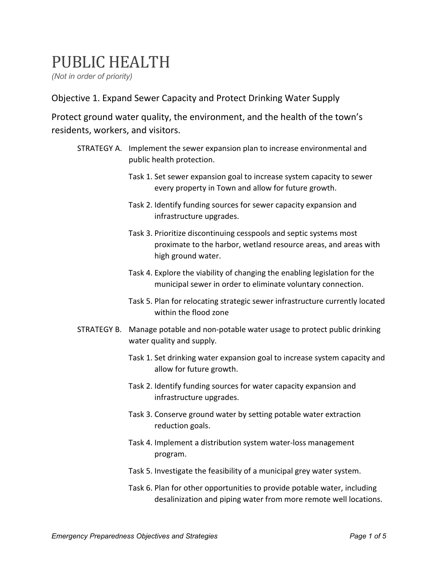## PUBLIC HEALTH

*(Not in order of priority)* 

Objective 1. Expand Sewer Capacity and Protect Drinking Water Supply

Protect ground water quality, the environment, and the health of the town's residents, workers, and visitors.

- STRATEGY A. Implement the sewer expansion plan to increase environmental and public health protection.
	- Task 1. Set sewer expansion goal to increase system capacity to sewer every property in Town and allow for future growth.
	- Task 2. Identify funding sources for sewer capacity expansion and infrastructure upgrades.
	- Task 3. Prioritize discontinuing cesspools and septic systems most proximate to the harbor, wetland resource areas, and areas with high ground water.
	- Task 4. Explore the viability of changing the enabling legislation for the municipal sewer in order to eliminate voluntary connection.
	- Task 5. Plan for relocating strategic sewer infrastructure currently located within the flood zone
- STRATEGY B. Manage potable and non-potable water usage to protect public drinking water quality and supply.
	- Task 1. Set drinking water expansion goal to increase system capacity and allow for future growth.
	- Task 2. Identify funding sources for water capacity expansion and infrastructure upgrades.
	- Task 3. Conserve ground water by setting potable water extraction reduction goals.
	- Task 4. Implement a distribution system water-loss management program.
	- Task 5. Investigate the feasibility of a municipal grey water system.
	- Task 6. Plan for other opportunities to provide potable water, including desalinization and piping water from more remote well locations.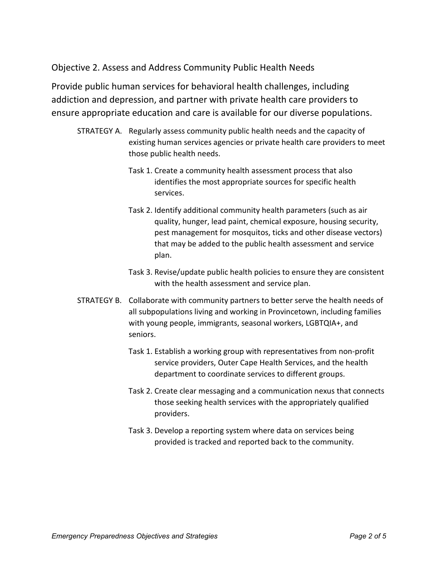Objective 2. Assess and Address Community Public Health Needs

Provide public human services for behavioral health challenges, including addiction and depression, and partner with private health care providers to ensure appropriate education and care is available for our diverse populations.

- STRATEGY A. Regularly assess community public health needs and the capacity of existing human services agencies or private health care providers to meet those public health needs.
	- Task 1. Create a community health assessment process that also identifies the most appropriate sources for specific health services.
	- Task 2. Identify additional community health parameters (such as air quality, hunger, lead paint, chemical exposure, housing security, pest management for mosquitos, ticks and other disease vectors) that may be added to the public health assessment and service plan.
	- Task 3. Revise/update public health policies to ensure they are consistent with the health assessment and service plan.
- STRATEGY B. Collaborate with community partners to better serve the health needs of all subpopulations living and working in Provincetown, including families with young people, immigrants, seasonal workers, LGBTQIA+, and seniors.
	- Task 1. Establish a working group with representatives from non-profit service providers, Outer Cape Health Services, and the health department to coordinate services to different groups.
	- Task 2. Create clear messaging and a communication nexus that connects those seeking health services with the appropriately qualified providers.
	- Task 3. Develop a reporting system where data on services being provided is tracked and reported back to the community.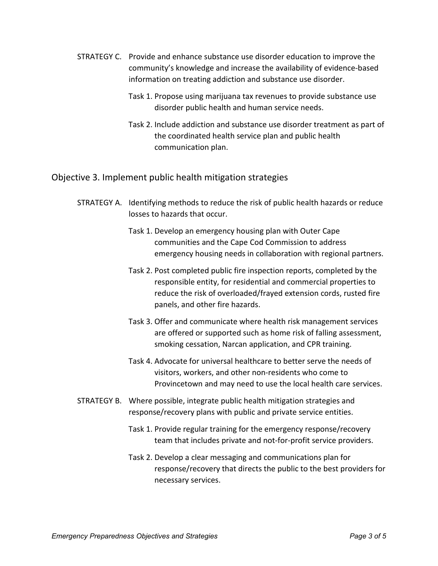- STRATEGY C. Provide and enhance substance use disorder education to improve the community's knowledge and increase the availability of evidence-based information on treating addiction and substance use disorder.
	- Task 1. Propose using marijuana tax revenues to provide substance use disorder public health and human service needs.
	- Task 2. Include addiction and substance use disorder treatment as part of the coordinated health service plan and public health communication plan.

## Objective 3. Implement public health mitigation strategies

- STRATEGY A. Identifying methods to reduce the risk of public health hazards or reduce losses to hazards that occur.
	- Task 1. Develop an emergency housing plan with Outer Cape communities and the Cape Cod Commission to address emergency housing needs in collaboration with regional partners.
	- Task 2. Post completed public fire inspection reports, completed by the responsible entity, for residential and commercial properties to reduce the risk of overloaded/frayed extension cords, rusted fire panels, and other fire hazards.
	- Task 3. Offer and communicate where health risk management services are offered or supported such as home risk of falling assessment, smoking cessation, Narcan application, and CPR training.
	- Task 4. Advocate for universal healthcare to better serve the needs of visitors, workers, and other non-residents who come to Provincetown and may need to use the local health care services.
- STRATEGY B. Where possible, integrate public health mitigation strategies and response/recovery plans with public and private service entities.
	- Task 1. Provide regular training for the emergency response/recovery team that includes private and not-for-profit service providers.
	- Task 2. Develop a clear messaging and communications plan for response/recovery that directs the public to the best providers for necessary services.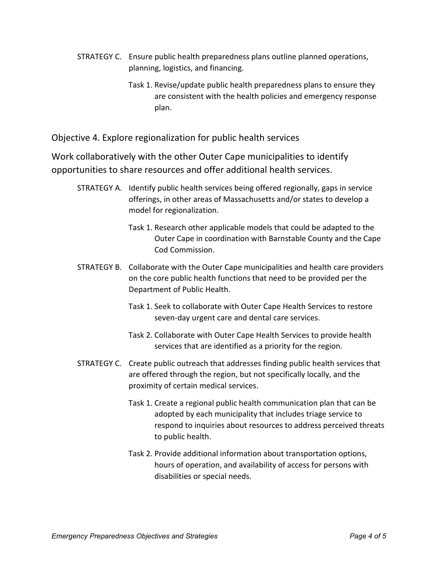- STRATEGY C. Ensure public health preparedness plans outline planned operations, planning, logistics, and financing.
	- Task 1. Revise/update public health preparedness plans to ensure they are consistent with the health policies and emergency response plan.

Objective 4. Explore regionalization for public health services

Work collaboratively with the other Outer Cape municipalities to identify opportunities to share resources and offer additional health services.

- STRATEGY A. Identify public health services being offered regionally, gaps in service offerings, in other areas of Massachusetts and/or states to develop a model for regionalization.
	- Task 1. Research other applicable models that could be adapted to the Outer Cape in coordination with Barnstable County and the Cape Cod Commission.
- STRATEGY B. Collaborate with the Outer Cape municipalities and health care providers on the core public health functions that need to be provided per the Department of Public Health.
	- Task 1. Seek to collaborate with Outer Cape Health Services to restore seven-day urgent care and dental care services.
	- Task 2. Collaborate with Outer Cape Health Services to provide health services that are identified as a priority for the region.
- STRATEGY C. Create public outreach that addresses finding public health services that are offered through the region, but not specifically locally, and the proximity of certain medical services.
	- Task 1. Create a regional public health communication plan that can be adopted by each municipality that includes triage service to respond to inquiries about resources to address perceived threats to public health.
	- Task 2. Provide additional information about transportation options, hours of operation, and availability of access for persons with disabilities or special needs.